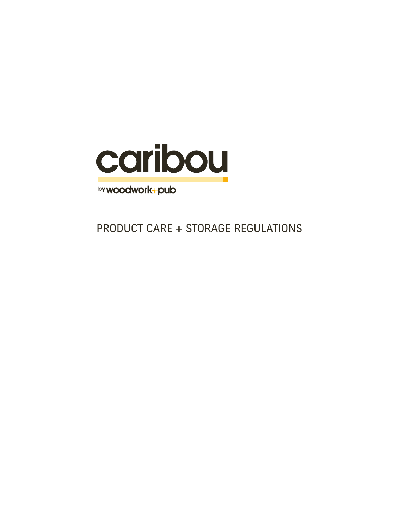

by woodwork-pub

PRODUCT CARE + STORAGE REGULATIONS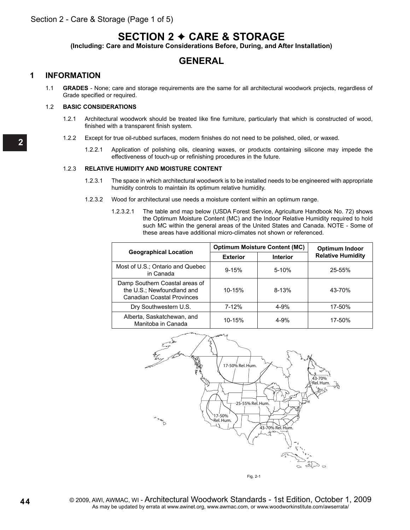# **SECTION 2** J **CARE & STORAGE**

**(Including: Care and Moisture Considerations Before, During, and After Installation)**

### **GENERAL**

### **1 INFORMATION**

1.1 **GRADES** - None; care and storage requirements are the same for all architectural woodwork projects, regardless of Grade specified or required.

### 1.2 **BASIC CONSIDERATIONS**

- 1.2.1 Architectural woodwork should be treated like fine furniture, particularly that which is constructed of wood, finished with a transparent finish system.
- 1.2.2 Except for true oil-rubbed surfaces, modern finishes do not need to be polished, oiled, or waxed.
	- 1.2.2.1 Application of polishing oils, cleaning waxes, or products containing silicone may impede the effectiveness of touch-up or refinishing procedures in the future.

#### 1.2.3 **RELATIVE HUMIDITY AND MOISTURE CONTENT**

- 1.2.3.1 The space in which architectural woodwork is to be installed needs to be engineered with appropriate humidity controls to maintain its optimum relative humidity.
- 1.2.3.2 Wood for architectural use needs a moisture content within an optimum range.
	- 1.2.3.2.1 The table and map below (USDA Forest Service, Agriculture Handbook No. 72) shows the Optimum Moisture Content (MC) and the Indoor Relative Humidity required to hold such MC within the general areas of the United States and Canada. NOTE - Some of these areas have additional micro-climates not shown or referenced.

|                                                                                            | <b>Optimum Moisture Content (MC)</b> |                 | Optimum Indoor           |
|--------------------------------------------------------------------------------------------|--------------------------------------|-----------------|--------------------------|
| <b>Geographical Location</b>                                                               | <b>Exterior</b>                      | <b>Interior</b> | <b>Relative Humidity</b> |
| Most of U.S.; Ontario and Quebec<br>in Canada                                              | $9 - 15%$                            | $5 - 10%$       | $25 - 55%$               |
| Damp Southern Coastal areas of<br>the U.S.; Newfoundland and<br>Canadian Coastal Provinces | $10 - 15%$                           | $8 - 13%$       | 43-70%                   |
| Dry Southwestern U.S.                                                                      | 7-12%                                | $4 - 9%$        | 17-50%                   |
| Alberta, Saskatchewan, and<br>Manitoba in Canada                                           | $10 - 15%$                           | $4 - 9%$        | 17-50%                   |

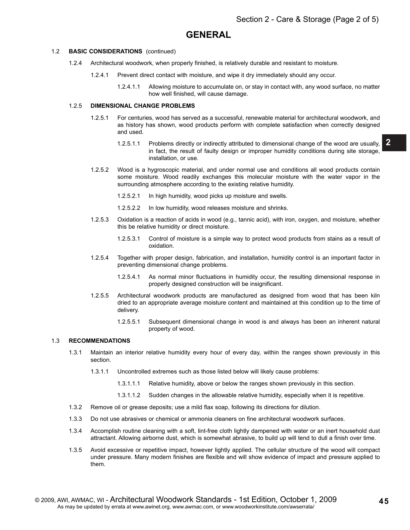## **GENERAL**

#### 1.2 **BASIC CONSIDERATIONS** (continued)

- 1.2.4 Architectural woodwork, when properly finished, is relatively durable and resistant to moisture.
	- 1.2.4.1 Prevent direct contact with moisture, and wipe it dry immediately should any occur.
		- 1.2.4.1.1 Allowing moisture to accumulate on, or stay in contact with, any wood surface, no matter how well finished, will cause damage.

#### 1.2.5 **DIMENSIONAL CHANGE PROBLEMS**

- 1.2.5.1 For centuries, wood has served as a successful, renewable material for architectural woodwork, and as history has shown, wood products perform with complete satisfaction when correctly designed and used.
	- 1.2.5.1.1 Problems directly or indirectly attributed to dimensional change of the wood are usually, in fact, the result of faulty design or improper humidity conditions during site storage, installation, or use.
- 1.2.5.2 Wood is a hygroscopic material, and under normal use and conditions all wood products contain some moisture. Wood readily exchanges this molecular moisture with the water vapor in the surrounding atmosphere according to the existing relative humidity.
	- 1.2.5.2.1 In high humidity, wood picks up moisture and swells.
	- 1.2.5.2.2 In low humidity, wood releases moisture and shrinks.
- 1.2.5.3 Oxidation is a reaction of acids in wood (e.g., tannic acid), with iron, oxygen, and moisture, whether this be relative humidity or direct moisture.
	- 1.2.5.3.1 Control of moisture is a simple way to protect wood products from stains as a result of oxidation.
- 1.2.5.4 Together with proper design, fabrication, and installation, humidity control is an important factor in preventing dimensional change problems.
	- 1.2.5.4.1 As normal minor fluctuations in humidity occur, the resulting dimensional response in properly designed construction will be insignificant.
- 1.2.5.5 Architectural woodwork products are manufactured as designed from wood that has been kiln dried to an appropriate average moisture content and maintained at this condition up to the time of delivery.
	- 1.2.5.5.1 Subsequent dimensional change in wood is and always has been an inherent natural property of wood.

#### 1.3 **RECOMMENDATIONS**

- 1.3.1 Maintain an interior relative humidity every hour of every day, within the ranges shown previously in this section.
	- 1.3.1.1 Uncontrolled extremes such as those listed below will likely cause problems:
		- 1.3.1.1.1 Relative humidity, above or below the ranges shown previously in this section.
		- 1.3.1.1.2 Sudden changes in the allowable relative humidity, especially when it is repetitive.
- 1.3.2 Remove oil or grease deposits; use a mild flax soap, following its directions for dilution.
- 1.3.3 Do not use abrasives or chemical or ammonia cleaners on fine architectural woodwork surfaces.
- 1.3.4 Accomplish routine cleaning with a soft, lint-free cloth lightly dampened with water or an inert household dust attractant. Allowing airborne dust, which is somewhat abrasive, to build up will tend to dull a finish over time.
- 1.3.5 Avoid excessive or repetitive impact, however lightly applied. The cellular structure of the wood will compact under pressure. Many modern finishes are flexible and will show evidence of impact and pressure applied to them.

**2**